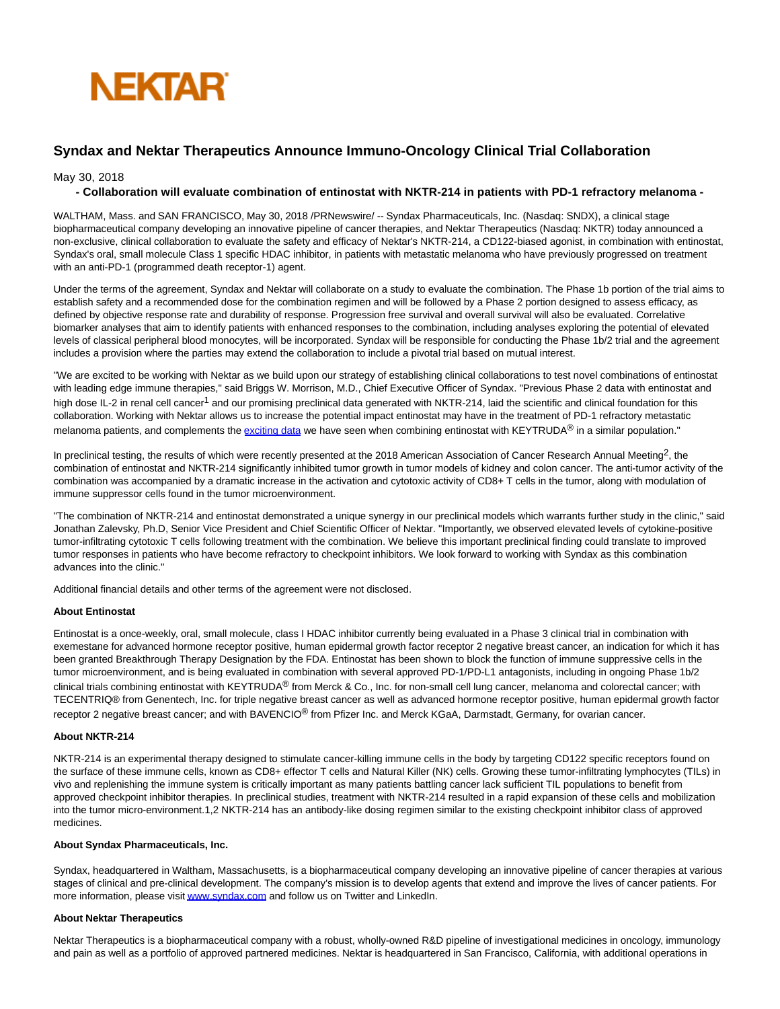

# **Syndax and Nektar Therapeutics Announce Immuno-Oncology Clinical Trial Collaboration**

May 30, 2018

# **- Collaboration will evaluate combination of entinostat with NKTR-214 in patients with PD-1 refractory melanoma -**

WALTHAM, Mass. and SAN FRANCISCO, May 30, 2018 /PRNewswire/ -- Syndax Pharmaceuticals, Inc. (Nasdaq: SNDX), a clinical stage biopharmaceutical company developing an innovative pipeline of cancer therapies, and Nektar Therapeutics (Nasdaq: NKTR) today announced a non-exclusive, clinical collaboration to evaluate the safety and efficacy of Nektar's NKTR-214, a CD122-biased agonist, in combination with entinostat, Syndax's oral, small molecule Class 1 specific HDAC inhibitor, in patients with metastatic melanoma who have previously progressed on treatment with an anti-PD-1 (programmed death receptor-1) agent.

Under the terms of the agreement, Syndax and Nektar will collaborate on a study to evaluate the combination. The Phase 1b portion of the trial aims to establish safety and a recommended dose for the combination regimen and will be followed by a Phase 2 portion designed to assess efficacy, as defined by objective response rate and durability of response. Progression free survival and overall survival will also be evaluated. Correlative biomarker analyses that aim to identify patients with enhanced responses to the combination, including analyses exploring the potential of elevated levels of classical peripheral blood monocytes, will be incorporated. Syndax will be responsible for conducting the Phase 1b/2 trial and the agreement includes a provision where the parties may extend the collaboration to include a pivotal trial based on mutual interest.

"We are excited to be working with Nektar as we build upon our strategy of establishing clinical collaborations to test novel combinations of entinostat with leading edge immune therapies," said Briggs W. Morrison, M.D., Chief Executive Officer of Syndax. "Previous Phase 2 data with entinostat and high dose IL-2 in renal cell cancer<sup>1</sup> and our promising preclinical data generated with NKTR-214, laid the scientific and clinical foundation for this collaboration. Working with Nektar allows us to increase the potential impact entinostat may have in the treatment of PD-1 refractory metastatic melanoma patients, and complements the [exciting data w](http://ir.syndax.com/news-releases/news-release-details/syndax-announces-updated-results-phase-2-encore-601-trial)e have seen when combining entinostat with KEYTRUDA<sup>®</sup> in a similar population."

In preclinical testing, the results of which were recently presented at the 2018 American Association of Cancer Research Annual Meeting<sup>2</sup>, the combination of entinostat and NKTR-214 significantly inhibited tumor growth in tumor models of kidney and colon cancer. The anti-tumor activity of the combination was accompanied by a dramatic increase in the activation and cytotoxic activity of CD8+ T cells in the tumor, along with modulation of immune suppressor cells found in the tumor microenvironment.

"The combination of NKTR-214 and entinostat demonstrated a unique synergy in our preclinical models which warrants further study in the clinic," said Jonathan Zalevsky, Ph.D, Senior Vice President and Chief Scientific Officer of Nektar. "Importantly, we observed elevated levels of cytokine-positive tumor-infiltrating cytotoxic T cells following treatment with the combination. We believe this important preclinical finding could translate to improved tumor responses in patients who have become refractory to checkpoint inhibitors. We look forward to working with Syndax as this combination advances into the clinic."

Additional financial details and other terms of the agreement were not disclosed.

# **About Entinostat**

Entinostat is a once-weekly, oral, small molecule, class I HDAC inhibitor currently being evaluated in a Phase 3 clinical trial in combination with exemestane for advanced hormone receptor positive, human epidermal growth factor receptor 2 negative breast cancer, an indication for which it has been granted Breakthrough Therapy Designation by the FDA. Entinostat has been shown to block the function of immune suppressive cells in the tumor microenvironment, and is being evaluated in combination with several approved PD-1/PD-L1 antagonists, including in ongoing Phase 1b/2 clinical trials combining entinostat with KEYTRUDA<sup>®</sup> from Merck & Co., Inc. for non-small cell lung cancer, melanoma and colorectal cancer; with TECENTRIQ® from Genentech, Inc. for triple negative breast cancer as well as advanced hormone receptor positive, human epidermal growth factor receptor 2 negative breast cancer; and with BAVENCIO® from Pfizer Inc. and Merck KGaA, Darmstadt, Germany, for ovarian cancer.

# **About NKTR-214**

NKTR-214 is an experimental therapy designed to stimulate cancer-killing immune cells in the body by targeting CD122 specific receptors found on the surface of these immune cells, known as CD8+ effector T cells and Natural Killer (NK) cells. Growing these tumor-infiltrating lymphocytes (TILs) in vivo and replenishing the immune system is critically important as many patients battling cancer lack sufficient TIL populations to benefit from approved checkpoint inhibitor therapies. In preclinical studies, treatment with NKTR-214 resulted in a rapid expansion of these cells and mobilization into the tumor micro-environment.1,2 NKTR-214 has an antibody-like dosing regimen similar to the existing checkpoint inhibitor class of approved medicines.

#### **About Syndax Pharmaceuticals, Inc.**

Syndax, headquartered in Waltham, Massachusetts, is a biopharmaceutical company developing an innovative pipeline of cancer therapies at various stages of clinical and pre-clinical development. The company's mission is to develop agents that extend and improve the lives of cancer patients. For more information, please visi[t www.syndax.com a](http://www.syndax.com/)nd follow us on Twitter and LinkedIn.

# **About Nektar Therapeutics**

Nektar Therapeutics is a biopharmaceutical company with a robust, wholly-owned R&D pipeline of investigational medicines in oncology, immunology and pain as well as a portfolio of approved partnered medicines. Nektar is headquartered in San Francisco, California, with additional operations in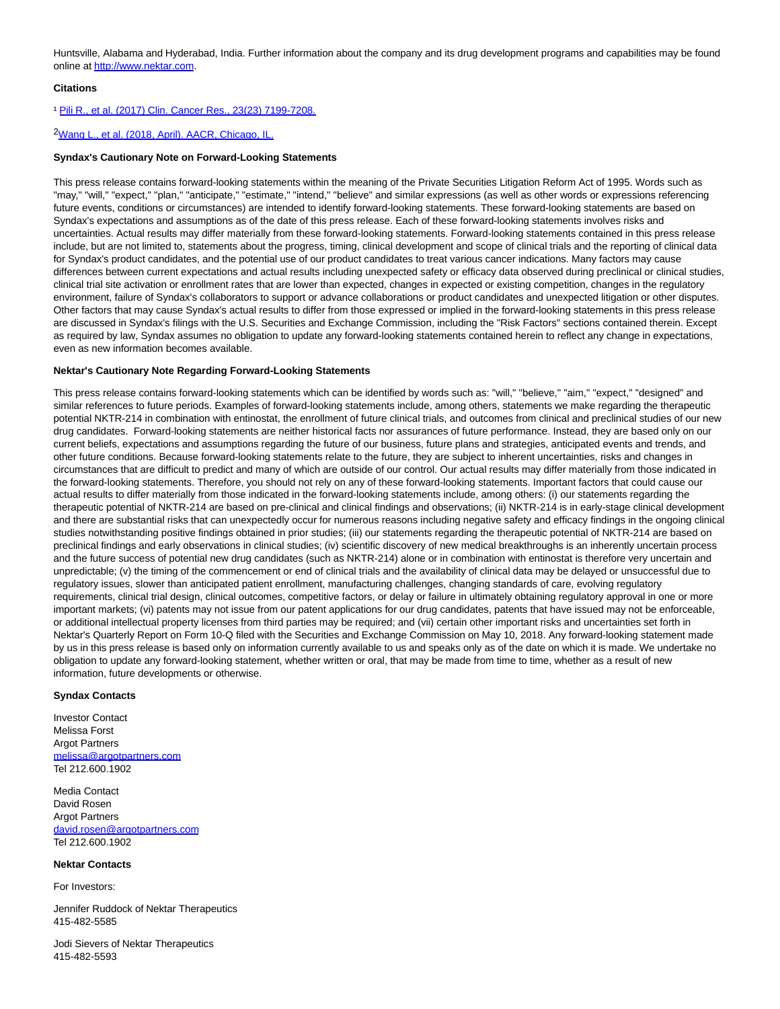Huntsville, Alabama and Hyderabad, India. Further information about the company and its drug development programs and capabilities may be found online a[t http://www.nektar.com.](http://www.nektar.com/)

# **Citations**

#### ¹ [Pili R., et al. \(2017\) Clin. Cancer Res., 23\(23\) 7199-7208.](http://clincancerres.aacrjournals.org/content/early/2017/09/22/1078-0432.CCR-17-1178)

# <sup>2</sup>[Wang L., et al. \(2018, April\). AACR, Chicago, IL.](http://www.syndax.com/wp-content/uploads/2018/04/AACR-2018_Entinostat-and-NKTR-214-in-Renal-and-Colon-Cancer-Tumor-Models-1.pdf)

#### **Syndax's Cautionary Note on Forward-Looking Statements**

This press release contains forward-looking statements within the meaning of the Private Securities Litigation Reform Act of 1995. Words such as "may," "will," "expect," "plan," "anticipate," "estimate," "intend," "believe" and similar expressions (as well as other words or expressions referencing future events, conditions or circumstances) are intended to identify forward-looking statements. These forward-looking statements are based on Syndax's expectations and assumptions as of the date of this press release. Each of these forward-looking statements involves risks and uncertainties. Actual results may differ materially from these forward-looking statements. Forward-looking statements contained in this press release include, but are not limited to, statements about the progress, timing, clinical development and scope of clinical trials and the reporting of clinical data for Syndax's product candidates, and the potential use of our product candidates to treat various cancer indications. Many factors may cause differences between current expectations and actual results including unexpected safety or efficacy data observed during preclinical or clinical studies, clinical trial site activation or enrollment rates that are lower than expected, changes in expected or existing competition, changes in the regulatory environment, failure of Syndax's collaborators to support or advance collaborations or product candidates and unexpected litigation or other disputes. Other factors that may cause Syndax's actual results to differ from those expressed or implied in the forward-looking statements in this press release are discussed in Syndax's filings with the U.S. Securities and Exchange Commission, including the "Risk Factors" sections contained therein. Except as required by law, Syndax assumes no obligation to update any forward-looking statements contained herein to reflect any change in expectations, even as new information becomes available.

# **Nektar's Cautionary Note Regarding Forward-Looking Statements**

This press release contains forward-looking statements which can be identified by words such as: "will," "believe," "aim," "expect," "designed" and similar references to future periods. Examples of forward-looking statements include, among others, statements we make regarding the therapeutic potential NKTR-214 in combination with entinostat, the enrollment of future clinical trials, and outcomes from clinical and preclinical studies of our new drug candidates. Forward-looking statements are neither historical facts nor assurances of future performance. Instead, they are based only on our current beliefs, expectations and assumptions regarding the future of our business, future plans and strategies, anticipated events and trends, and other future conditions. Because forward-looking statements relate to the future, they are subject to inherent uncertainties, risks and changes in circumstances that are difficult to predict and many of which are outside of our control. Our actual results may differ materially from those indicated in the forward-looking statements. Therefore, you should not rely on any of these forward-looking statements. Important factors that could cause our actual results to differ materially from those indicated in the forward-looking statements include, among others: (i) our statements regarding the therapeutic potential of NKTR-214 are based on pre-clinical and clinical findings and observations; (ii) NKTR-214 is in early-stage clinical development and there are substantial risks that can unexpectedly occur for numerous reasons including negative safety and efficacy findings in the ongoing clinical studies notwithstanding positive findings obtained in prior studies; (iii) our statements regarding the therapeutic potential of NKTR-214 are based on preclinical findings and early observations in clinical studies; (iv) scientific discovery of new medical breakthroughs is an inherently uncertain process and the future success of potential new drug candidates (such as NKTR-214) alone or in combination with entinostat is therefore very uncertain and unpredictable; (v) the timing of the commencement or end of clinical trials and the availability of clinical data may be delayed or unsuccessful due to regulatory issues, slower than anticipated patient enrollment, manufacturing challenges, changing standards of care, evolving regulatory requirements, clinical trial design, clinical outcomes, competitive factors, or delay or failure in ultimately obtaining regulatory approval in one or more important markets; (vi) patents may not issue from our patent applications for our drug candidates, patents that have issued may not be enforceable, or additional intellectual property licenses from third parties may be required; and (vii) certain other important risks and uncertainties set forth in Nektar's Quarterly Report on Form 10-Q filed with the Securities and Exchange Commission on May 10, 2018. Any forward-looking statement made by us in this press release is based only on information currently available to us and speaks only as of the date on which it is made. We undertake no obligation to update any forward-looking statement, whether written or oral, that may be made from time to time, whether as a result of new information, future developments or otherwise.

#### **Syndax Contacts**

Investor Contact Melissa Forst Argot Partners [melissa@argotpartners.com](mailto:melissa@argotpartners.com) Tel 212.600.1902

Media Contact David Rosen Argot Partners [david.rosen@argotpartners.com](mailto:david.rosen@argotpartners.com) Tel 212.600.1902

### **Nektar Contacts**

For Investors:

Jennifer Ruddock of Nektar Therapeutics 415-482-5585

Jodi Sievers of Nektar Therapeutics 415-482-5593